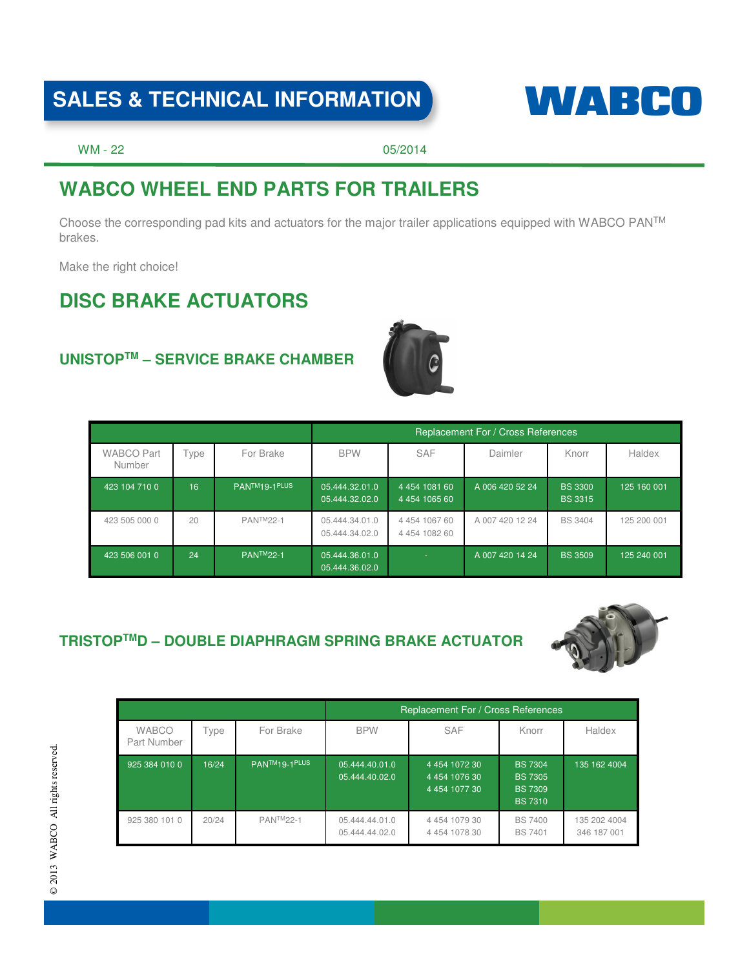# SALES & TECHNICAL INFORMATION **WARE CONTACT**



WM - 22 05/2014

## **WABCO WHEEL END PARTS FOR TRAILERS**

Choose the corresponding pad kits and actuators for the major trailer applications equipped with WABCO PANTM brakes.

Make the right choice!

## **DISC BRAKE ACTUATORS**

### **UNISTOPTM – SERVICE BRAKE CHAMBER**



|                             |     |                            | Replacement For / Cross References |                                            |                 |                                  |             |
|-----------------------------|-----|----------------------------|------------------------------------|--------------------------------------------|-----------------|----------------------------------|-------------|
| <b>WABCO Part</b><br>Number | ype | For Brake                  | <b>BPW</b>                         | <b>SAF</b>                                 | Daimler         | Knorr                            | Haldex      |
| 423 104 710 0               | 16  | PANTM <sub>19-1</sub> PLUS | 05.444.32.01.0<br>05.444.32.02.0   | 4 4 54 10 81 60<br>4 4 54 1 0 65 60        | A 006 420 52 24 | <b>BS 3300</b><br><b>BS 3315</b> | 125 160 001 |
| 423 505 000 0               | 20  | <b>PANTM22-1</b>           | 05.444.34.01.0<br>05.444.34.02.0   | 4 4 5 4 1 0 6 7 6 0<br>4 4 5 4 1 0 8 2 6 0 | A 007 420 12 24 | <b>BS 3404</b>                   | 125 200 001 |
| 423 506 001 0               | 24  | <b>PANTM22-1</b>           | 05.444.36.01.0<br>05.444.36.02.0   | $\sim$                                     | A 007 420 14 24 | <b>BS 3509</b>                   | 125 240 001 |

### **TRISTOPTMD – DOUBLE DIAPHRAGM SPRING BRAKE ACTUATOR**



|                             |       |                            | Replacement For / Cross References |                                                                 |                                                                      |                             |
|-----------------------------|-------|----------------------------|------------------------------------|-----------------------------------------------------------------|----------------------------------------------------------------------|-----------------------------|
| <b>WABCO</b><br>Part Number | Type  | For Brake                  | <b>BPW</b>                         | <b>SAF</b>                                                      | Knorr                                                                | Haldex                      |
| 925 384 010 0               | 16/24 | PANTM <sub>19-1</sub> PLUS | 05.444.40.01.0<br>05.444.40.02.0   | 4 4 5 4 1 0 7 2 3 0<br>4 4 5 4 10 7 6 3 0<br>4 4 5 4 10 7 7 3 0 | <b>BS 7304</b><br><b>BS 7305</b><br><b>BS 7309</b><br><b>BS 7310</b> | 135 162 4004                |
| 925 380 101 0               | 20/24 | <b>PANTM22-1</b>           | 05.444.44.01.0<br>05.444.44.02.0   | 4 4 5 4 1 0 7 9 3 0<br>4 4 5 4 1 0 7 8 3 0                      | <b>BS 7400</b><br><b>BS 7401</b>                                     | 135 202 4004<br>346 187 001 |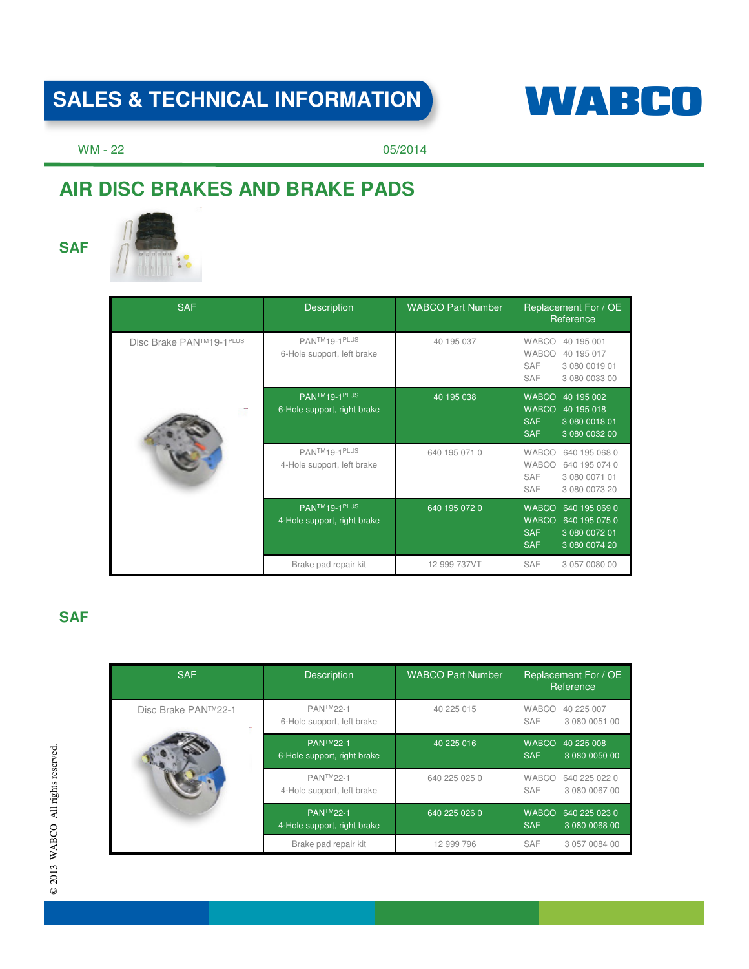# SALES & TECHNICAL INFORMATION **WABCO**



WM - 22 05/2014

# **AIR DISC BRAKES AND BRAKE PADS**





| <b>SAF</b>              | <b>Description</b>                                        | <b>WABCO Part Number</b> | Replacement For / OE<br>Reference                                                                                            |
|-------------------------|-----------------------------------------------------------|--------------------------|------------------------------------------------------------------------------------------------------------------------------|
| Disc Brake PAN™19-1PLUS | PANTM <sub>19-1</sub> PLUS<br>6-Hole support, left brake  | 40 195 037               | <b>WABCO</b><br>40 195 001<br><b>WABCO</b><br>40 195 017<br><b>SAF</b><br>3 080 0019 01<br><b>SAF</b><br>3 080 0033 00       |
|                         | PANTM <sub>19-1</sub> PLUS<br>6-Hole support, right brake | 40 195 038               | <b>WABCO</b><br>40 195 002<br><b>WABCO</b><br>40 195 018<br><b>SAF</b><br>3 080 0018 01<br><b>SAF</b><br>3 080 0032 00       |
|                         | PANTM <sub>19-1</sub> PLUS<br>4-Hole support, left brake  | 640 195 071 0            | <b>WABCO</b><br>640 195 068 0<br><b>WABCO</b><br>640 195 074 0<br><b>SAF</b><br>3 080 0071 01<br><b>SAF</b><br>3 080 0073 20 |
|                         | PANTM <sub>19-1</sub> PLUS<br>4-Hole support, right brake | 640 195 072 0            | <b>WABCO</b><br>640 195 069 0<br><b>WABCO</b><br>640 195 075 0<br><b>SAF</b><br>3 080 0072 01<br><b>SAF</b><br>3 080 0074 20 |
|                         | Brake pad repair kit                                      | 12 999 737VT             | <b>SAF</b><br>3 057 0080 00                                                                                                  |

### **SAF**

| <b>SAF</b>          | <b>Description</b>                              | <b>WABCO Part Number</b> | Replacement For / OE<br>Reference                            |
|---------------------|-------------------------------------------------|--------------------------|--------------------------------------------------------------|
| Disc Brake PAN™22-1 | <b>PANTM22-1</b><br>6-Hole support, left brake  | 40 225 015               | <b>WABCO</b><br>40 225 007<br>SAF<br>3 080 0051 00           |
|                     | <b>PANTM22-1</b><br>6-Hole support, right brake | 40 225 016               | <b>WABCO</b><br>40 225 008<br><b>SAF</b><br>3 080 0050 00    |
|                     | <b>PANTM22-1</b><br>4-Hole support, left brake  | 640 225 025 0            | <b>WABCO</b><br>640 225 022 0<br><b>SAF</b><br>3 080 0067 00 |
|                     | <b>PANTM22-1</b><br>4-Hole support, right brake | 640 225 026 0            | <b>WABCO</b><br>640 225 023 0<br><b>SAF</b><br>3 080 0068 00 |
|                     | Brake pad repair kit                            | 12 999 796               | <b>SAF</b><br>3 057 0084 00                                  |

© 2013 WABCO All rights reserved. © 2013 WABCO All rights reserved.